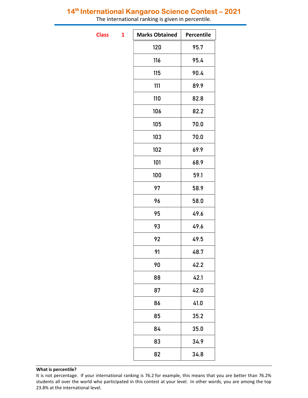## 14<sup>th</sup> International Kangaroo Science Contest - 2021

The international ranking is given in percentile.

**Class** 

| 1 | <b>Marks Obtained</b> | Percentile |
|---|-----------------------|------------|
|   | 120                   | 95.7       |
|   | 116                   | 95.4       |
|   | 115                   | 90.4       |
|   | 111                   | 89.9       |
|   | 110                   | 82.8       |
|   | 106                   | 82.2       |
|   | 105                   | 70.0       |
|   | 103                   | 70.0       |
|   | 102                   | 69.9       |
|   | 101                   | 68.9       |
|   | 100                   | 59.1       |
|   | 97                    | 58.9       |
|   | 96                    | 58.0       |
|   | 95                    | 49.6       |
|   | 93                    | 49.6       |
|   | 92                    | 49.5       |
|   | 91                    | 48.7       |
|   | 90                    | 42.2       |
|   | 88                    | 42.1       |
|   | 87                    | 42.0       |
|   | 86                    | 41.0       |
|   | 85                    | 35.2       |
|   | 84                    | 35.0       |
|   | 83                    | 34.9       |
|   | 82                    | 34.8       |

## What is percentile?

It is not percentage. If your international ranking is 76.2 for example, this means that you are better than 76.2% students all over the world who participated in this contest at your level. In other words, you are among the top 23.8% at the international level.